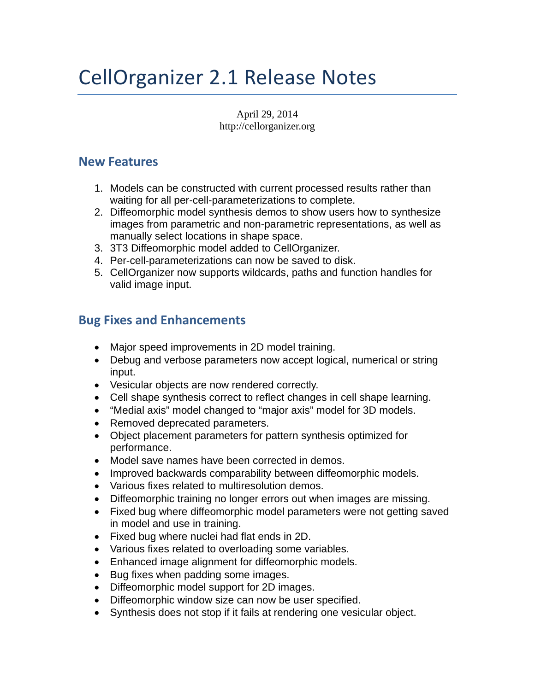# CellOrganizer 2.1 Release Notes

April 29, 2014 http://cellorganizer.org

## **New Features**

- 1. Models can be constructed with current processed results rather than waiting for all per-cell-parameterizations to complete.
- 2. Diffeomorphic model synthesis demos to show users how to synthesize images from parametric and non-parametric representations, as well as manually select locations in shape space.
- 3. 3T3 Diffeomorphic model added to CellOrganizer.
- 4. Per-cell-parameterizations can now be saved to disk.
- 5. CellOrganizer now supports wildcards, paths and function handles for valid image input.

## **Bug Fixes and Enhancements**

- Major speed improvements in 2D model training.
- Debug and verbose parameters now accept logical, numerical or string input.
- Vesicular objects are now rendered correctly.
- Cell shape synthesis correct to reflect changes in cell shape learning.
- "Medial axis" model changed to "major axis" model for 3D models.
- Removed deprecated parameters.
- Object placement parameters for pattern synthesis optimized for performance.
- Model save names have been corrected in demos.
- Improved backwards comparability between diffeomorphic models.
- Various fixes related to multiresolution demos.
- Diffeomorphic training no longer errors out when images are missing.
- Fixed bug where diffeomorphic model parameters were not getting saved in model and use in training.
- Fixed bug where nuclei had flat ends in 2D.
- Various fixes related to overloading some variables.
- Enhanced image alignment for diffeomorphic models.
- Bug fixes when padding some images.
- Diffeomorphic model support for 2D images.
- Diffeomorphic window size can now be user specified.
- Synthesis does not stop if it fails at rendering one vesicular object.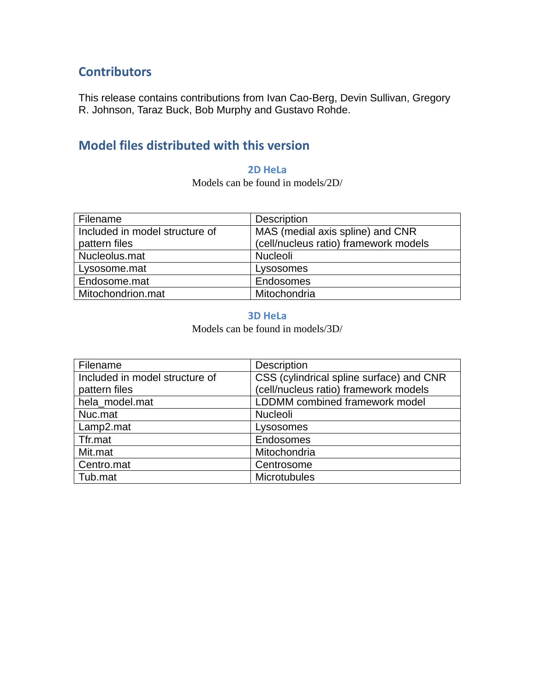## **Contributors**

This release contains contributions from Ivan Cao-Berg, Devin Sullivan, Gregory R. Johnson, Taraz Buck, Bob Murphy and Gustavo Rohde.

# **Model files distributed with this version**

### **2D HeLa**

Models can be found in models/2D/

| Filename                       | <b>Description</b>                    |
|--------------------------------|---------------------------------------|
| Included in model structure of | MAS (medial axis spline) and CNR      |
| pattern files                  | (cell/nucleus ratio) framework models |
| Nucleolus.mat                  | Nucleoli                              |
| Lysosome.mat                   | Lysosomes                             |
| Endosome.mat                   | Endosomes                             |
| Mitochondrion.mat              | Mitochondria                          |

#### **3D HeLa**

Models can be found in models/3D/

| Filename                       | <b>Description</b>                       |
|--------------------------------|------------------------------------------|
| Included in model structure of | CSS (cylindrical spline surface) and CNR |
| pattern files                  | (cell/nucleus ratio) framework models    |
| hela model.mat                 | <b>LDDMM</b> combined framework model    |
| Nuc.mat                        | Nucleoli                                 |
| Lamp2.mat                      | Lysosomes                                |
| Tfr.mat                        | Endosomes                                |
| Mit.mat                        | Mitochondria                             |
| Centro.mat                     | Centrosome                               |
| Tub.mat                        | <b>Microtubules</b>                      |